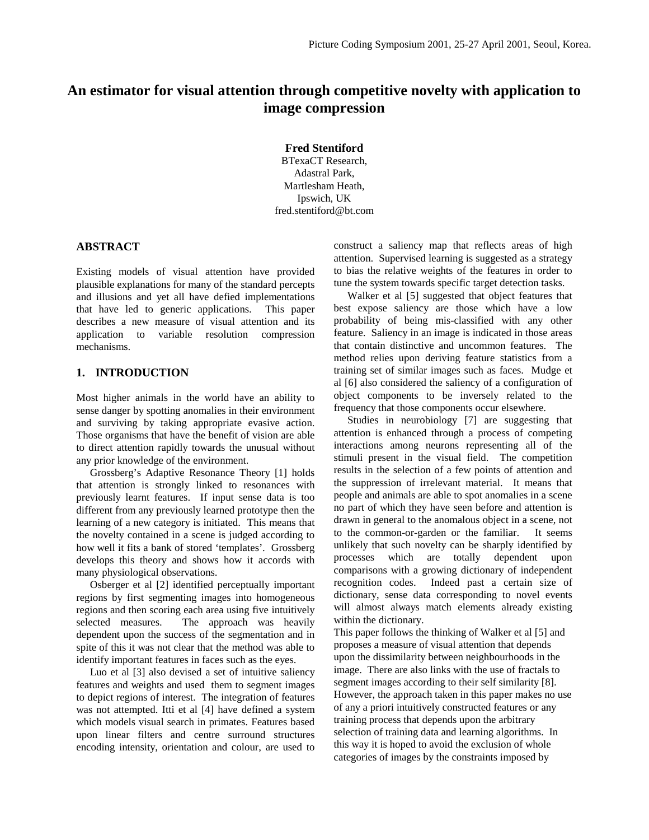# **An estimator for visual attention through competitive novelty with application to image compression**

**Fred Stentiford**

BTexaCT Research, Adastral Park, Martlesham Heath, Ipswich, UK fred.stentiford@bt.com

### **ABSTRACT**

Existing models of visual attention have provided plausible explanations for many of the standard percepts and illusions and yet all have defied implementations that have led to generic applications. This paper describes a new measure of visual attention and its application to variable resolution compression mechanisms.

#### **1. INTRODUCTION**

Most higher animals in the world have an ability to sense danger by spotting anomalies in their environment and surviving by taking appropriate evasive action. Those organisms that have the benefit of vision are able to direct attention rapidly towards the unusual without any prior knowledge of the environment.

Grossberg's Adaptive Resonance Theory [1] holds that attention is strongly linked to resonances with previously learnt features. If input sense data is too different from any previously learned prototype then the learning of a new category is initiated. This means that the novelty contained in a scene is judged according to how well it fits a bank of stored 'templates'. Grossberg develops this theory and shows how it accords with many physiological observations.

Osberger et al [2] identified perceptually important regions by first segmenting images into homogeneous regions and then scoring each area using five intuitively selected measures. The approach was heavily dependent upon the success of the segmentation and in spite of this it was not clear that the method was able to identify important features in faces such as the eyes.

Luo et al [3] also devised a set of intuitive saliency features and weights and used them to segment images to depict regions of interest. The integration of features was not attempted. Itti et al [4] have defined a system which models visual search in primates. Features based upon linear filters and centre surround structures encoding intensity, orientation and colour, are used to

construct a saliency map that reflects areas of high attention. Supervised learning is suggested as a strategy to bias the relative weights of the features in order to tune the system towards specific target detection tasks.

Walker et al [5] suggested that object features that best expose saliency are those which have a low probability of being mis-classified with any other feature. Saliency in an image is indicated in those areas that contain distinctive and uncommon features. The method relies upon deriving feature statistics from a training set of similar images such as faces. Mudge et al [6] also considered the saliency of a configuration of object components to be inversely related to the frequency that those components occur elsewhere.

Studies in neurobiology [7] are suggesting that attention is enhanced through a process of competing interactions among neurons representing all of the stimuli present in the visual field. The competition results in the selection of a few points of attention and the suppression of irrelevant material. It means that people and animals are able to spot anomalies in a scene no part of which they have seen before and attention is drawn in general to the anomalous object in a scene, not to the common-or-garden or the familiar. It seems unlikely that such novelty can be sharply identified by processes which are totally dependent upon comparisons with a growing dictionary of independent recognition codes. Indeed past a certain size of dictionary, sense data corresponding to novel events will almost always match elements already existing within the dictionary.

This paper follows the thinking of Walker et al [5] and proposes a measure of visual attention that depends upon the dissimilarity between neighbourhoods in the image. There are also links with the use of fractals to segment images according to their self similarity [8]. However, the approach taken in this paper makes no use of any a priori intuitively constructed features or any training process that depends upon the arbitrary selection of training data and learning algorithms. In this way it is hoped to avoid the exclusion of whole categories of images by the constraints imposed by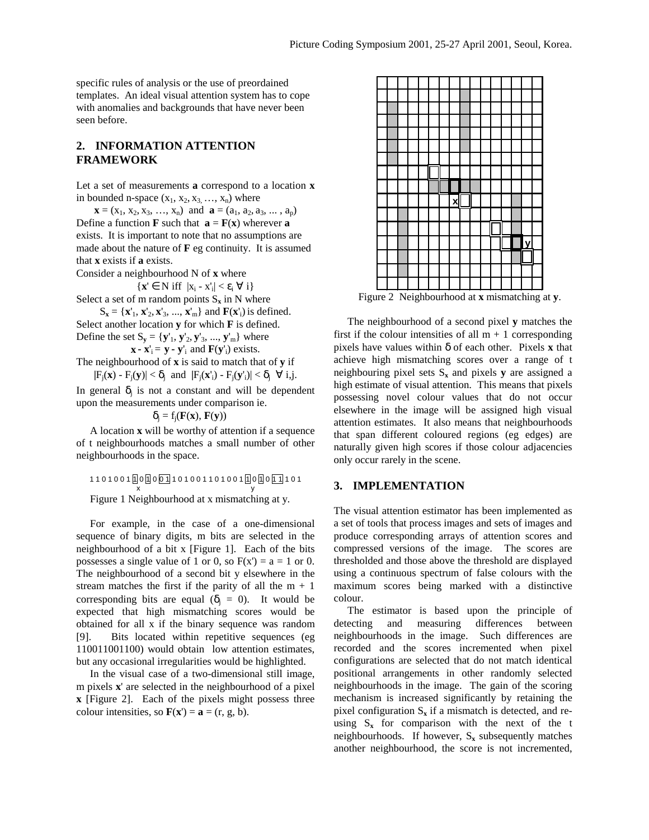specific rules of analysis or the use of preordained templates. An ideal visual attention system has to cope with anomalies and backgrounds that have never been seen before.

# **2. INFORMATION ATTENTION FRAMEWORK**

Let a set of measurements **a** correspond to a location **x** in bounded n-space  $(x_1, x_2, x_3, \ldots, x_n)$  where

 $\mathbf{x} = (x_1, x_2, x_3, ..., x_n)$  and  $\mathbf{a} = (a_1, a_2, a_3, ..., a_p)$ Define a function **F** such that  $\mathbf{a} = \mathbf{F}(\mathbf{x})$  wherever  $\mathbf{a}$ exists. It is important to note that no assumptions are made about the nature of **F** eg continuity. It is assumed that **x** exists if **a** exists.

Consider a neighbourhood N of **x** where

$$
\{x'\in\,N\;{\rm iff}\;\;|x_i-x_i'|<\epsilon_i\;\forall\;i\}
$$

Select a set of m random points  $S_x$  in N where

 $S_{\mathbf{x}} = {\mathbf{x}'_1, \mathbf{x}'_2, \mathbf{x}'_3, ..., \mathbf{x}'_m}$  and  $\mathbf{F}(\mathbf{x}'_i)$  is defined. Select another location **y** for which **F** is defined. Define the set  $S_y = \{y'_1, y'_2, y'_3, ..., y'_m\}$  where

 $\mathbf{x} \cdot \mathbf{x}'_i = \mathbf{y} \cdot \mathbf{y}'_i$  and  $\mathbf{F}(\mathbf{y}'_i)$  exists.

The neighbourhood of **x** is said to match that of **y** if

 $|F_j(\mathbf{x}) - F_j(\mathbf{y})| < \delta_j$  and  $|F_j(\mathbf{x}_i') - F_j(\mathbf{y}_i')| < \delta_j \ \forall i, j$ .

In general  $\delta_i$  is not a constant and will be dependent upon the measurements under comparison ie.

 $\delta_i = f_i(\mathbf{F}(\mathbf{x}), \mathbf{F}(\mathbf{y}))$ 

A location **x** will be worthy of attention if a sequence of t neighbourhoods matches a small number of other neighbourhoods in the space.

$$
1101001\frac{0}{0}\frac{0}{0}\frac{0}{1}10100110011001\frac{1}{0}\frac{0}{1}\frac{0}{1}\frac{1}{1}\frac{01}{1}\frac{0}{1}
$$
  
Figure 1 Neighbourhood at x mismatching at y.

For example, in the case of a one-dimensional sequence of binary digits, m bits are selected in the neighbourhood of a bit x [Figure 1]. Each of the bits possesses a single value of 1 or 0, so  $F(x') = a = 1$  or 0. The neighbourhood of a second bit y elsewhere in the stream matches the first if the parity of all the  $m + 1$ corresponding bits are equal ( $\delta_i = 0$ ). It would be expected that high mismatching scores would be obtained for all x if the binary sequence was random [9]. Bits located within repetitive sequences (eg 110011001100) would obtain low attention estimates, but any occasional irregularities would be highlighted.

In the visual case of a two-dimensional still image, m pixels **x**' are selected in the neighbourhood of a pixel **x** [Figure 2]. Each of the pixels might possess three colour intensities, so  $\mathbf{F}(\mathbf{x}') = \mathbf{a} = (r, g, b)$ .



Figure 2 Neighbourhood at **x** mismatching at **y**.

The neighbourhood of a second pixel **y** matches the first if the colour intensities of all  $m + 1$  corresponding pixels have values within δ of each other. Pixels **x** that achieve high mismatching scores over a range of t neighbouring pixel sets  $S_x$  and pixels **y** are assigned a high estimate of visual attention. This means that pixels possessing novel colour values that do not occur elsewhere in the image will be assigned high visual attention estimates. It also means that neighbourhoods that span different coloured regions (eg edges) are naturally given high scores if those colour adjacencies only occur rarely in the scene.

#### **3. IMPLEMENTATION**

The visual attention estimator has been implemented as a set of tools that process images and sets of images and produce corresponding arrays of attention scores and compressed versions of the image. The scores are thresholded and those above the threshold are displayed using a continuous spectrum of false colours with the maximum scores being marked with a distinctive colour.

The estimator is based upon the principle of detecting and measuring differences between neighbourhoods in the image. Such differences are recorded and the scores incremented when pixel configurations are selected that do not match identical positional arrangements in other randomly selected neighbourhoods in the image. The gain of the scoring mechanism is increased significantly by retaining the pixel configuration  $S_x$  if a mismatch is detected, and reusing  $S_x$  for comparison with the next of the t neighbourhoods. If however,  $S_x$  subsequently matches another neighbourhood, the score is not incremented,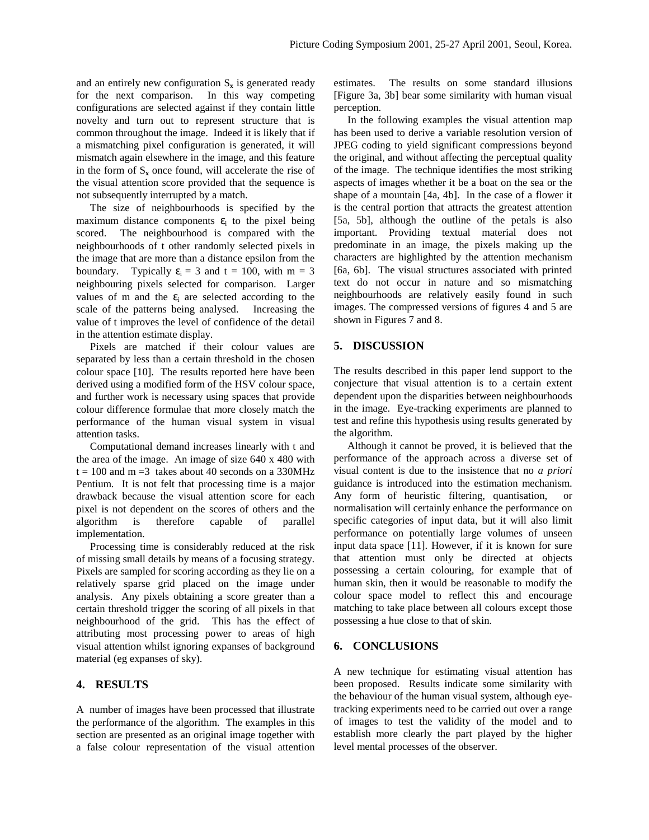and an entirely new configuration  $S_x$  is generated ready for the next comparison. In this way competing configurations are selected against if they contain little novelty and turn out to represent structure that is common throughout the image. Indeed it is likely that if a mismatching pixel configuration is generated, it will mismatch again elsewhere in the image, and this feature in the form of  $S_x$  once found, will accelerate the rise of the visual attention score provided that the sequence is not subsequently interrupted by a match.

The size of neighbourhoods is specified by the maximum distance components  $\varepsilon_i$  to the pixel being scored. The neighbourhood is compared with the neighbourhoods of t other randomly selected pixels in the image that are more than a distance epsilon from the boundary. Typically  $\varepsilon_i = 3$  and  $t = 100$ , with  $m = 3$ neighbouring pixels selected for comparison. Larger values of m and the  $\varepsilon$ <sub>i</sub> are selected according to the scale of the patterns being analysed. Increasing the value of t improves the level of confidence of the detail in the attention estimate display.

Pixels are matched if their colour values are separated by less than a certain threshold in the chosen colour space [10]. The results reported here have been derived using a modified form of the HSV colour space, and further work is necessary using spaces that provide colour difference formulae that more closely match the performance of the human visual system in visual attention tasks.

Computational demand increases linearly with t and the area of the image. An image of size 640 x 480 with  $t = 100$  and m = 3 takes about 40 seconds on a 330MHz Pentium. It is not felt that processing time is a major drawback because the visual attention score for each pixel is not dependent on the scores of others and the algorithm is therefore capable of parallel implementation.

Processing time is considerably reduced at the risk of missing small details by means of a focusing strategy. Pixels are sampled for scoring according as they lie on a relatively sparse grid placed on the image under analysis. Any pixels obtaining a score greater than a certain threshold trigger the scoring of all pixels in that neighbourhood of the grid. This has the effect of attributing most processing power to areas of high visual attention whilst ignoring expanses of background material (eg expanses of sky).

# **4. RESULTS**

A number of images have been processed that illustrate the performance of the algorithm. The examples in this section are presented as an original image together with a false colour representation of the visual attention estimates. The results on some standard illusions [Figure 3a, 3b] bear some similarity with human visual perception.

In the following examples the visual attention map has been used to derive a variable resolution version of JPEG coding to yield significant compressions beyond the original, and without affecting the perceptual quality of the image. The technique identifies the most striking aspects of images whether it be a boat on the sea or the shape of a mountain [4a, 4b]. In the case of a flower it is the central portion that attracts the greatest attention [5a, 5b], although the outline of the petals is also important. Providing textual material does not predominate in an image, the pixels making up the characters are highlighted by the attention mechanism [6a, 6b]. The visual structures associated with printed text do not occur in nature and so mismatching neighbourhoods are relatively easily found in such images. The compressed versions of figures 4 and 5 are shown in Figures 7 and 8.

# **5. DISCUSSION**

The results described in this paper lend support to the conjecture that visual attention is to a certain extent dependent upon the disparities between neighbourhoods in the image. Eye-tracking experiments are planned to test and refine this hypothesis using results generated by the algorithm.

Although it cannot be proved, it is believed that the performance of the approach across a diverse set of visual content is due to the insistence that no *a priori* guidance is introduced into the estimation mechanism. Any form of heuristic filtering, quantisation, or normalisation will certainly enhance the performance on specific categories of input data, but it will also limit performance on potentially large volumes of unseen input data space [11]. However, if it is known for sure that attention must only be directed at objects possessing a certain colouring, for example that of human skin, then it would be reasonable to modify the colour space model to reflect this and encourage matching to take place between all colours except those possessing a hue close to that of skin.

#### **6. CONCLUSIONS**

A new technique for estimating visual attention has been proposed. Results indicate some similarity with the behaviour of the human visual system, although eyetracking experiments need to be carried out over a range of images to test the validity of the model and to establish more clearly the part played by the higher level mental processes of the observer.